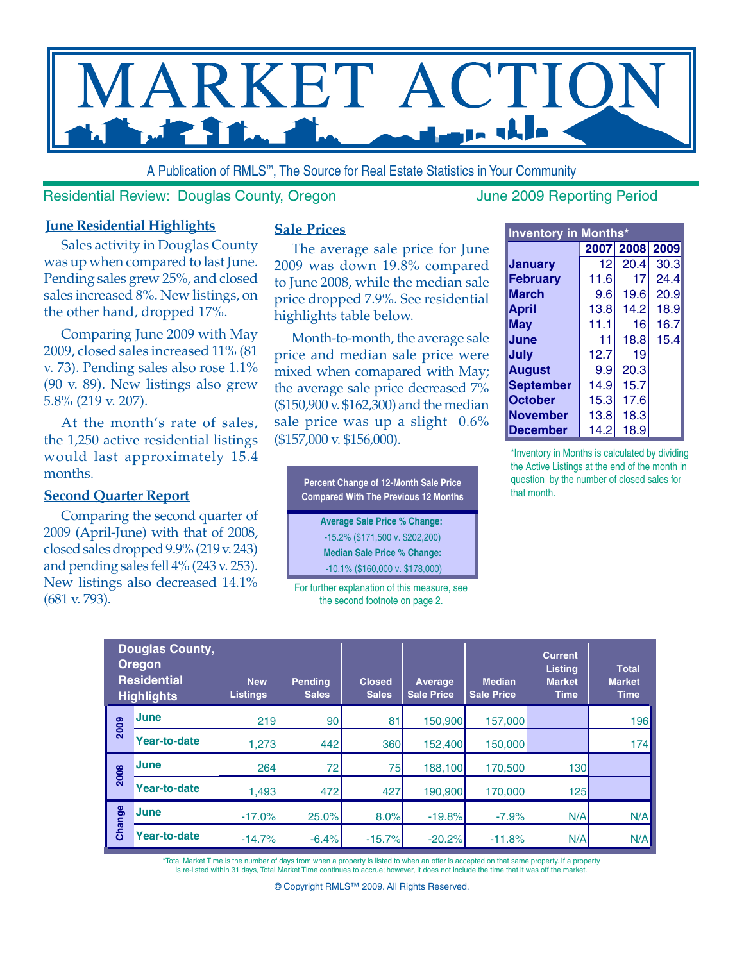

A Publication of RMLS™, The Source for Real Estate Statistics in Your Community

#### Residential Review: Douglas County, Oregon June 2009 Reporting Period

#### **June Residential Highlights**

Sales activity in Douglas County was up when compared to last June. Pending sales grew 25%, and closed sales increased 8%. New listings, on the other hand, dropped 17%.

Comparing June 2009 with May 2009, closed sales increased 11% (81 v. 73). Pending sales also rose 1.1% (90 v. 89). New listings also grew 5.8% (219 v. 207).

At the month's rate of sales, the 1,250 active residential listings would last approximately 15.4 months.

#### **Second Quarter Report**

Comparing the second quarter of 2009 (April-June) with that of 2008, closed sales dropped 9.9% (219 v. 243) and pending sales fell 4% (243 v. 253). New listings also decreased 14.1% (681 v. 793).

#### **Sale Prices**

The average sale price for June 2009 was down 19.8% compared to June 2008, while the median sale price dropped 7.9%. See residential highlights table below.

Month-to-month, the average sale price and median sale price were mixed when comapared with May; the average sale price decreased 7% (\$150,900 v. \$162,300) and the median sale price was up a slight 0.6% (\$157,000 v. \$156,000).

> **Percent Change of 12-Month Sale Price Compared With The Previous 12 Months Average Sale Price % Change:**  -15.2% (\$171,500 v. \$202,200) **Median Sale Price % Change:**

 -10.1% (\$160,000 v. \$178,000) For further explanation of this measure, see

the second footnote on page 2.

| <b>Inventory in Months*</b> |      |                    |      |  |  |  |  |  |  |  |  |
|-----------------------------|------|--------------------|------|--|--|--|--|--|--|--|--|
|                             |      | 2007   2008   2009 |      |  |  |  |  |  |  |  |  |
| Januarv                     | 12   | 20.4               | 30.3 |  |  |  |  |  |  |  |  |
| <b>February</b>             | 11.6 | 17                 | 24.4 |  |  |  |  |  |  |  |  |
| <b>March</b>                | 9.6  | 19.6               | 20.9 |  |  |  |  |  |  |  |  |
| April                       | 13.8 | 14.2               | 18.9 |  |  |  |  |  |  |  |  |
| May                         | 11.1 | 16                 | 16.7 |  |  |  |  |  |  |  |  |
| June                        | 11   | 18.8               | 15.4 |  |  |  |  |  |  |  |  |
| July                        | 12.7 | 19                 |      |  |  |  |  |  |  |  |  |
| <b>August</b>               | 9.9  | 20.3               |      |  |  |  |  |  |  |  |  |
| <b>September</b>            | 14.9 | 15.7               |      |  |  |  |  |  |  |  |  |
| <b>October</b>              | 15.3 | 17.6               |      |  |  |  |  |  |  |  |  |
| <b>November</b>             | 13.8 | 18.3               |      |  |  |  |  |  |  |  |  |
| December                    | 14.2 | 18.9               |      |  |  |  |  |  |  |  |  |

\*Inventory in Months is calculated by dividing the Active Listings at the end of the month in question by the number of closed sales for that month.

| Douglas County,<br><b>Oregon</b><br><b>Residential</b><br><b>Highlights</b> |                     | <b>New</b><br><b>Listings</b> | <b>Pending</b><br><b>Sales</b> | <b>Closed</b><br><b>Sales</b> | Average<br><b>Sale Price</b> | <b>Median</b><br><b>Sale Price</b> | <b>Current</b><br><b>Listing</b><br><b>Market</b><br><b>Time</b> | <b>Total</b><br><b>Market</b><br><b>Time</b> |  |
|-----------------------------------------------------------------------------|---------------------|-------------------------------|--------------------------------|-------------------------------|------------------------------|------------------------------------|------------------------------------------------------------------|----------------------------------------------|--|
| 2009                                                                        | <b>June</b>         | 219                           | 90                             | 81                            | 150,900                      | 157,000                            |                                                                  | 196                                          |  |
|                                                                             | <b>Year-to-date</b> | 1,273                         | 442                            | 360                           | 152,400                      | 150,000                            |                                                                  | 174                                          |  |
| 2008                                                                        | <b>June</b>         | 264                           | 72                             | 75                            | 188,100                      | 170,500                            | 130                                                              |                                              |  |
|                                                                             | <b>Year-to-date</b> | 1,493                         | 472                            | 427                           | 190,900                      | 170,000                            | 125                                                              |                                              |  |
| Change                                                                      | <b>June</b>         | $-17.0%$                      | 25.0%                          | 8.0%                          | $-19.8%$                     | $-7.9%$                            | N/A                                                              | N/A                                          |  |
|                                                                             | <b>Year-to-date</b> | $-14.7%$                      | $-6.4%$                        | $-15.7%$                      | $-20.2%$                     | $-11.8%$                           | N/A                                                              | N/A                                          |  |

\*Total Market Time is the number of days from when a property is listed to when an offer is accepted on that same property. If a property is re-listed within 31 days, Total Market Time continues to accrue; however, it does not include the time that it was off the market.

© Copyright RMLS™ 2009. All Rights Reserved.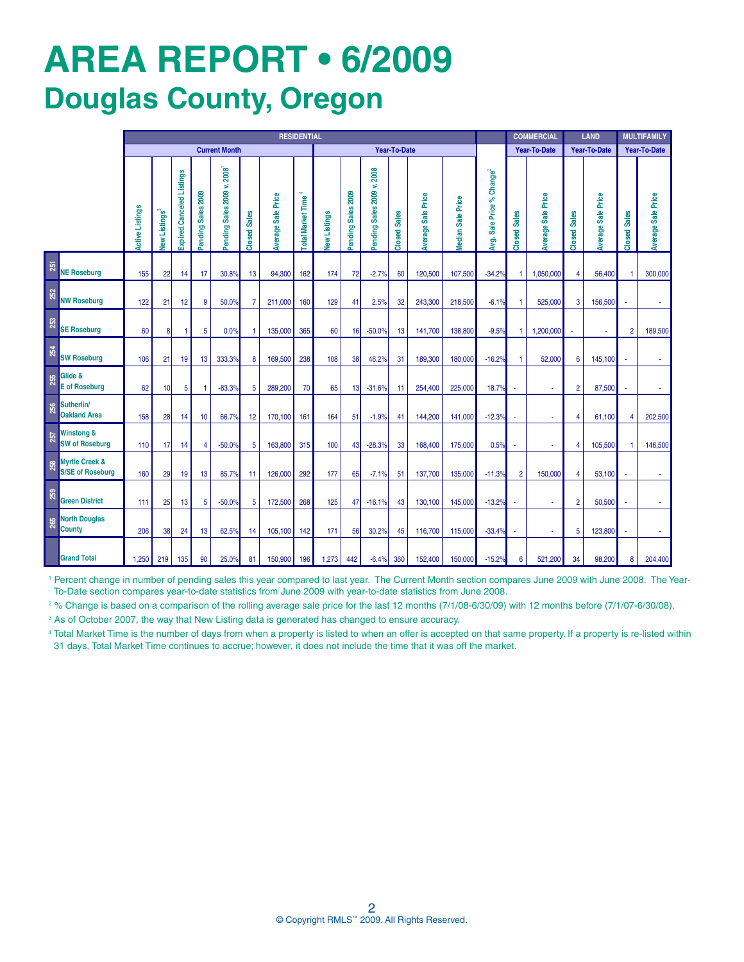# **AREa REPORT • 6/2009 Douglas County, Oregon**

|     |                                                                                                                                                                                                                                                                                                                                                                                                                                                | <b>RESIDENTIAL</b>   |                           |                           |                             |                           |                     |                           |                  |             |                      |                             |                     | <b>COMMERCIAL</b>         |                  | <b>LAND</b>                        |                     | <b>MULTIFAMILY</b>        |                         |                           |                |                           |
|-----|------------------------------------------------------------------------------------------------------------------------------------------------------------------------------------------------------------------------------------------------------------------------------------------------------------------------------------------------------------------------------------------------------------------------------------------------|----------------------|---------------------------|---------------------------|-----------------------------|---------------------------|---------------------|---------------------------|------------------|-------------|----------------------|-----------------------------|---------------------|---------------------------|------------------|------------------------------------|---------------------|---------------------------|-------------------------|---------------------------|----------------|---------------------------|
|     |                                                                                                                                                                                                                                                                                                                                                                                                                                                | <b>Current Month</b> |                           |                           | <b>Year-To-Date</b>         |                           |                     |                           |                  |             | <b>Year-To-Date</b>  |                             | <b>Year-To-Date</b> |                           | Year-To-Date     |                                    |                     |                           |                         |                           |                |                           |
|     |                                                                                                                                                                                                                                                                                                                                                                                                                                                | ctive Listings       | lew Listings <sup>3</sup> | Expired.Canceled Listings | <b>Sales 2009</b><br>ending | ending Sales 2009 v. 2008 | <b>Closed Sales</b> | <b>Average Sale Price</b> | otal Market Time | ew Listings | Sales 2009<br>ending | v.2008<br>ending Sales 2009 | <b>Closed Sales</b> | <b>Average Sale Price</b> | edian Sale Price | % $C$ hange $2$<br>Avg. Sale Price | <b>Closed Sales</b> | <b>Iverage Sale Price</b> | <b>Sales</b><br>Closed: | <b>Average Sale Price</b> | Closed Sales   | <b>Average Sale Price</b> |
| 251 | <b>NE Roseburg</b>                                                                                                                                                                                                                                                                                                                                                                                                                             | 155                  | 22                        | 14                        | 17                          | 30.8%                     | 13                  | 94,300                    | 162              | 174         | 72                   | $-2.7%$                     | 60                  | 120,500                   | 107,500          | $-34.2%$                           |                     | 1,050,000                 | 4                       | 56,400                    |                | 300,000                   |
| 252 | <b>NW Roseburg</b>                                                                                                                                                                                                                                                                                                                                                                                                                             | 122                  | 21                        | 12                        | 9                           | 50.0%                     | 7                   | 211,000                   | 160              | 129         | 41                   | 2.5%                        | 32                  | 243,300                   | 218,500          | $-6.1%$                            |                     | 525,000                   | 3                       | 156,500                   |                |                           |
| 253 | <b>SE Roseburg</b>                                                                                                                                                                                                                                                                                                                                                                                                                             | 60                   | 8                         | $\mathbf{1}$              | 5                           | 0.0%                      | 1                   | 135,000                   | 365              | 60          | 16                   | $-50.0%$                    | 13                  | 141,700                   | 138,800          | $-9.5%$                            | 1                   | 1,200,000                 |                         |                           | $\overline{2}$ | 189,500                   |
| 254 | <b>SW Roseburg</b>                                                                                                                                                                                                                                                                                                                                                                                                                             | 106                  | 21                        | 19                        | 13                          | 333.3%                    | 8                   | 169,500                   | 238              | 108         | 38                   | 46.2%                       | 31                  | 189,300                   | 180,000          | $-16.2%$                           |                     | 52,000                    | 6                       | 145,100                   |                |                           |
| 255 | Glide &<br><b>E</b> of Roseburg                                                                                                                                                                                                                                                                                                                                                                                                                | 62                   | 10                        | 5                         | -1                          | $-83.3%$                  | 5                   | 289,200                   | 70               | 65          | 13                   | $-31.6%$                    | 11                  | 254,400                   | 225,000          | 18.7%                              |                     |                           | $\overline{2}$          | 87,500                    |                |                           |
| 256 | Sutherlin/<br><b>Oakland Area</b>                                                                                                                                                                                                                                                                                                                                                                                                              | 158                  | 28                        | 14                        | 10                          | 66.7%                     | 12                  | 170,100                   | 161              | 164         | 51                   | $-1.9%$                     | 41                  | 144,200                   | 141,000          | $-12.3%$                           |                     |                           | 4                       | 61,100                    | 4              | 202,500                   |
| 257 | Winstong &<br><b>SW of Roseburg</b>                                                                                                                                                                                                                                                                                                                                                                                                            | 110                  | 17                        | 14                        | $\overline{4}$              | $-50.0%$                  | 5                   | 163,800                   | 315              | 100         | 43                   | $-28.3%$                    | 33                  | 168,400                   | 175,000          | 0.5%                               |                     |                           | 4                       | 105,500                   |                | 146,500                   |
| 258 | <b>Myrtle Creek &amp;</b><br><b>S/SE of Roseburg</b>                                                                                                                                                                                                                                                                                                                                                                                           | 160                  | 29                        | 19                        | 13                          | 85.7%                     | 11                  | 126,000                   | 292              | 177         | 65                   | $-7.1%$                     | 51                  | 137,700                   | 135,000          | $-11.3%$                           | $\overline{2}$      | 150,000                   | 4                       | 53,100                    |                |                           |
| 259 | <b>Green District</b>                                                                                                                                                                                                                                                                                                                                                                                                                          | 111                  | 25                        | 13                        | 5                           | $-50.0%$                  | 5                   | 172,500                   | 268              | 125         | 47                   | $-16.1%$                    | 43                  | 130,100                   | 145,000          | $-13.2%$                           |                     |                           | $\overline{2}$          | 50,500                    |                |                           |
|     | <b>North Douglas</b><br><b>County</b>                                                                                                                                                                                                                                                                                                                                                                                                          | 206                  | 38                        | 24                        | 13                          | 62.5%                     | 14                  | 105,100                   | 142              | 171         | 56                   | 30.2%                       | 45                  | 116,700                   | 115,000          | $-33.4%$                           |                     |                           | 5                       | 123,800                   |                |                           |
|     | <b>Grand Total</b>                                                                                                                                                                                                                                                                                                                                                                                                                             | 1,250                | 219                       | 135                       | 90                          | 25.0%                     | 81                  | 150,900                   | 196              | 1,273       | 442                  | $-6.4%$                     | 360                 | 152,400                   | 150,000          | $-15.2$                            | 6                   | 521,200                   | 34                      | 98,200                    | 8              | 204,400                   |
|     | <sup>1</sup> Percent change in number of pending sales this year compared to last year. The Current Month section compares June 2009 with June 2008. The Y<br>To-Date section compares year-to-date statistics from June 2009 with year-to-date statistics from June 2008.<br><sup>2</sup> % Change is based on a comparison of the rolling average sale price for the last 12 months (7/1/08-6/30/09) with 12 months before (7/1/07-6/30/08). |                      |                           |                           |                             |                           |                     |                           |                  |             |                      |                             |                     |                           |                  |                                    |                     |                           |                         |                           |                |                           |
|     | <sup>3</sup> As of October 2007, the way that New Listing data is generated has changed to ensure accuracy.                                                                                                                                                                                                                                                                                                                                    |                      |                           |                           |                             |                           |                     |                           |                  |             |                      |                             |                     |                           |                  |                                    |                     |                           |                         |                           |                |                           |
|     | 4 Total Market Time is the number of days from when a property is listed to when an offer is accepted on that same property. If a property is re-listed w<br>31 days, Total Market Time continues to accrue; however, it does not include the time that it was off the market.                                                                                                                                                                 |                      |                           |                           |                             |                           |                     |                           |                  |             |                      |                             |                     |                           |                  |                                    |                     |                           |                         |                           |                |                           |

4 Total Market Time is the number of days from when a property is listed to when an offer is accepted on that same property. If a property is re-listed within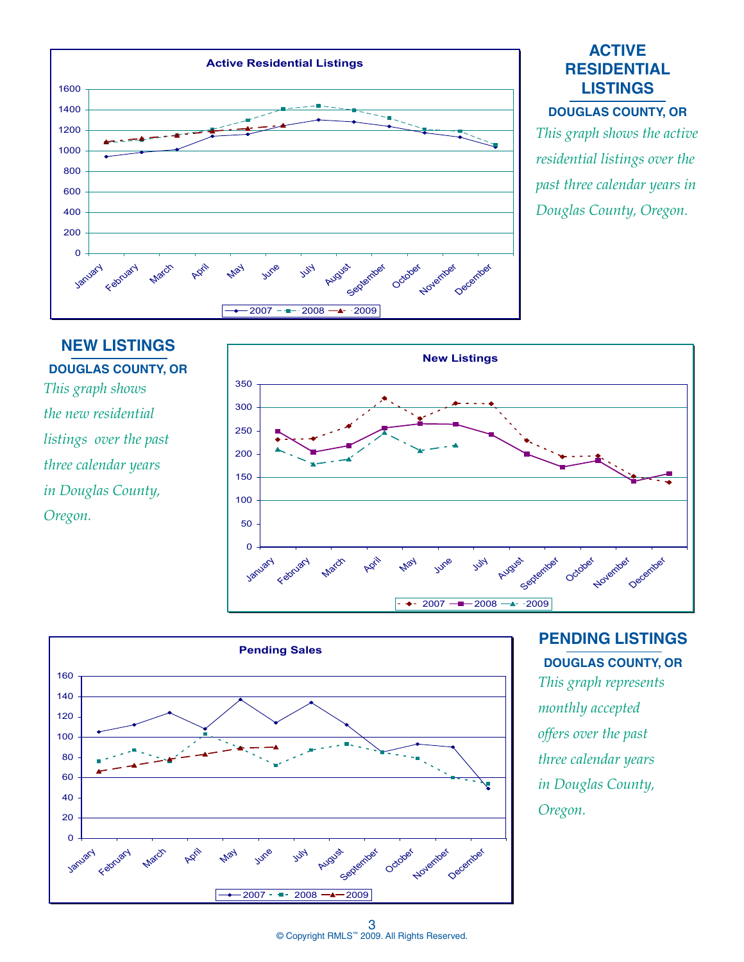

#### **ACTIVE RESIDENTIAL LISTINGS**

#### **DOUGLAS COUNTY, OR**

*This graph shows the active residential listings over the past three calendar years in Douglas County, Oregon.*

# **NEW LISTINGS DOUGLAS COUNTY, OR** *This graph shows the new residential listings over the past three calendar years in Douglas County, Oregon.*





### **PENDING LISTINGS DOUGLAS COUNTY, OR**

*This graph represents monthly accepted offers over the past three calendar years in Douglas County, Oregon.*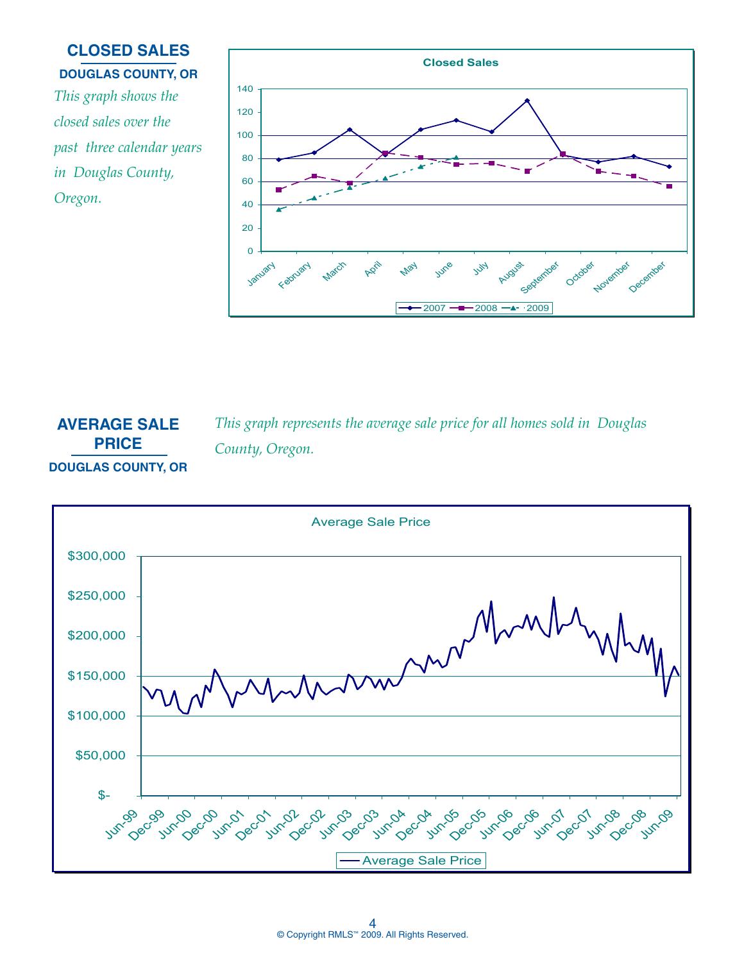# *This graph shows the closed sales over the past three calendar years in Douglas County, Oregon.* **CLOSED SALES DOUGLAS COUNTY, OR**



*This graph represents the average sale price for all homes sold in Douglas* 

**AVERAGE SALE PRICE DOUGLAS COUNTY, OR**

*County, Oregon.*

Average Sale Price \$300,000 \$250,000 \$200,000 W \$150,000 \$100,000 \$50,000 \$- Jun<sup>-09</sup> Jun-00 Dec-00 Dec-99 Dec-01 Jun-01 Lin<sub>c</sub>y Dec-07 Jun-04 Dec-04 **Avril** 25  $\delta^{\circ}$ Jun-0ec-02 Jun-08c 23  $\mathcal{C}_{\mathcal{O}}$ Jun-0<sup>8</sup> 08 vn<sup>0</sup> Oes Average Sale Price